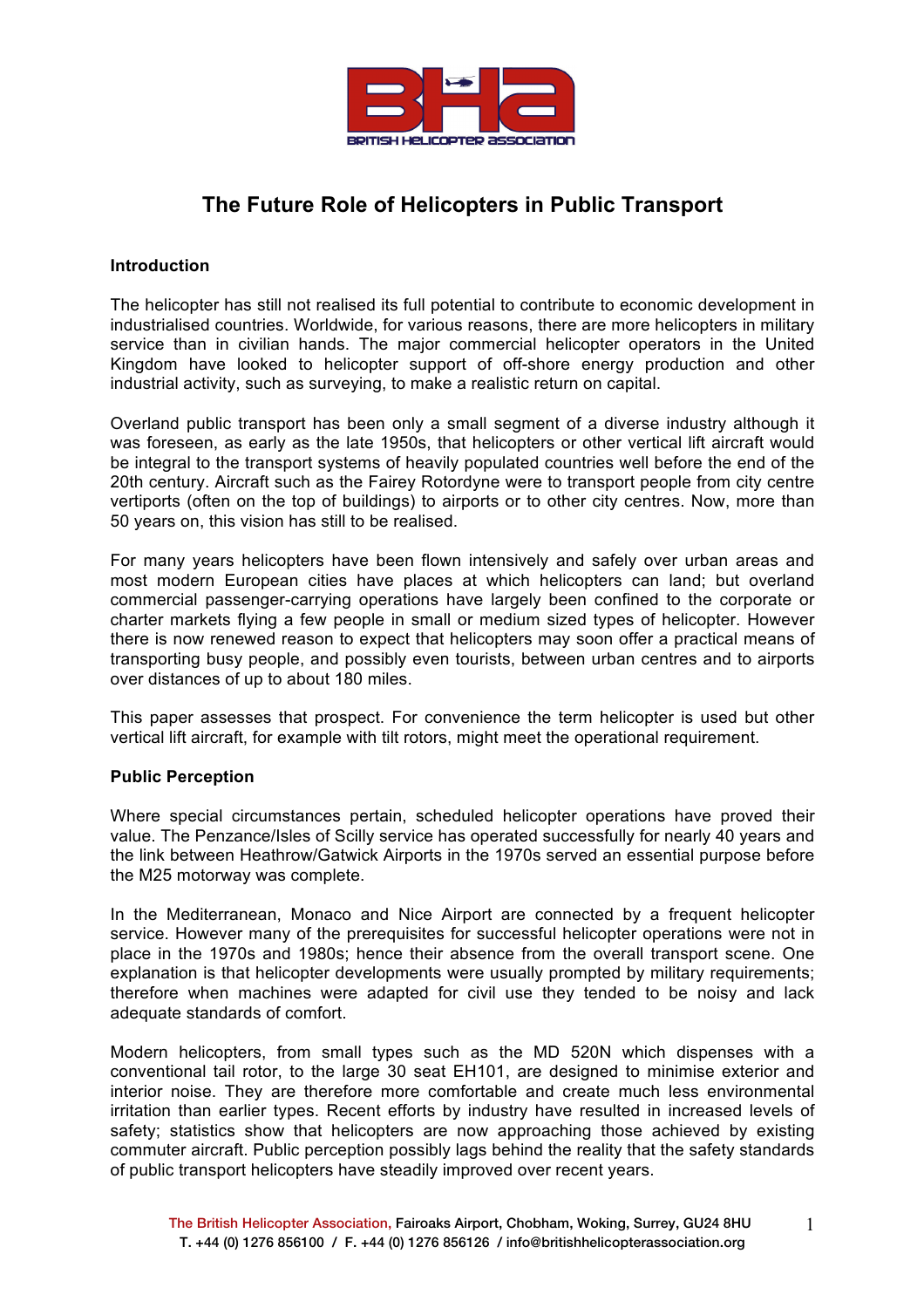

# **The Future Role of Helicopters in Public Transport**

## **Introduction**

The helicopter has still not realised its full potential to contribute to economic development in industrialised countries. Worldwide, for various reasons, there are more helicopters in military service than in civilian hands. The major commercial helicopter operators in the United Kingdom have looked to helicopter support of off-shore energy production and other industrial activity, such as surveying, to make a realistic return on capital.

Overland public transport has been only a small segment of a diverse industry although it was foreseen, as early as the late 1950s, that helicopters or other vertical lift aircraft would be integral to the transport systems of heavily populated countries well before the end of the 20th century. Aircraft such as the Fairey Rotordyne were to transport people from city centre vertiports (often on the top of buildings) to airports or to other city centres. Now, more than 50 years on, this vision has still to be realised.

For many years helicopters have been flown intensively and safely over urban areas and most modern European cities have places at which helicopters can land; but overland commercial passenger-carrying operations have largely been confined to the corporate or charter markets flying a few people in small or medium sized types of helicopter. However there is now renewed reason to expect that helicopters may soon offer a practical means of transporting busy people, and possibly even tourists, between urban centres and to airports over distances of up to about 180 miles.

This paper assesses that prospect. For convenience the term helicopter is used but other vertical lift aircraft, for example with tilt rotors, might meet the operational requirement.

## **Public Perception**

Where special circumstances pertain, scheduled helicopter operations have proved their value. The Penzance/Isles of Scilly service has operated successfully for nearly 40 years and the link between Heathrow/Gatwick Airports in the 1970s served an essential purpose before the M25 motorway was complete.

In the Mediterranean, Monaco and Nice Airport are connected by a frequent helicopter service. However many of the prerequisites for successful helicopter operations were not in place in the 1970s and 1980s; hence their absence from the overall transport scene. One explanation is that helicopter developments were usually prompted by military requirements; therefore when machines were adapted for civil use they tended to be noisy and lack adequate standards of comfort.

Modern helicopters, from small types such as the MD 520N which dispenses with a conventional tail rotor, to the large 30 seat EH101, are designed to minimise exterior and interior noise. They are therefore more comfortable and create much less environmental irritation than earlier types. Recent efforts by industry have resulted in increased levels of safety; statistics show that helicopters are now approaching those achieved by existing commuter aircraft. Public perception possibly lags behind the reality that the safety standards of public transport helicopters have steadily improved over recent years.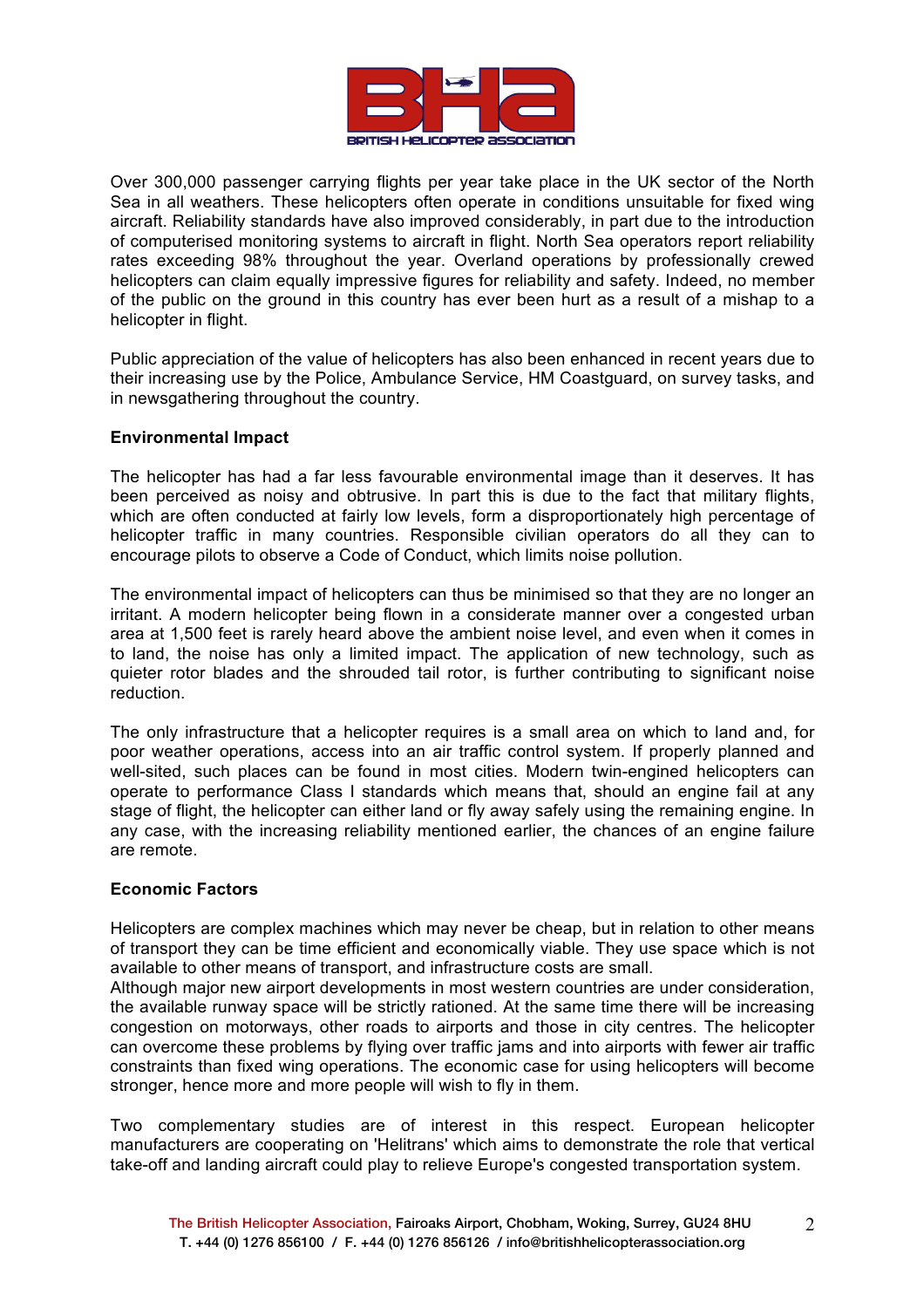

Over 300,000 passenger carrying flights per year take place in the UK sector of the North Sea in all weathers. These helicopters often operate in conditions unsuitable for fixed wing aircraft. Reliability standards have also improved considerably, in part due to the introduction of computerised monitoring systems to aircraft in flight. North Sea operators report reliability rates exceeding 98% throughout the year. Overland operations by professionally crewed helicopters can claim equally impressive figures for reliability and safety. Indeed, no member of the public on the ground in this country has ever been hurt as a result of a mishap to a helicopter in flight.

Public appreciation of the value of helicopters has also been enhanced in recent years due to their increasing use by the Police, Ambulance Service, HM Coastguard, on survey tasks, and in newsgathering throughout the country.

## **Environmental Impact**

The helicopter has had a far less favourable environmental image than it deserves. It has been perceived as noisy and obtrusive. In part this is due to the fact that military flights, which are often conducted at fairly low levels, form a disproportionately high percentage of helicopter traffic in many countries. Responsible civilian operators do all they can to encourage pilots to observe a Code of Conduct, which limits noise pollution.

The environmental impact of helicopters can thus be minimised so that they are no longer an irritant. A modern helicopter being flown in a considerate manner over a congested urban area at 1,500 feet is rarely heard above the ambient noise level, and even when it comes in to land, the noise has only a limited impact. The application of new technology, such as quieter rotor blades and the shrouded tail rotor, is further contributing to significant noise reduction.

The only infrastructure that a helicopter requires is a small area on which to land and, for poor weather operations, access into an air traffic control system. If properly planned and well-sited, such places can be found in most cities. Modern twin-engined helicopters can operate to performance Class I standards which means that, should an engine fail at any stage of flight, the helicopter can either land or fly away safely using the remaining engine. In any case, with the increasing reliability mentioned earlier, the chances of an engine failure are remote.

## **Economic Factors**

Helicopters are complex machines which may never be cheap, but in relation to other means of transport they can be time efficient and economically viable. They use space which is not available to other means of transport, and infrastructure costs are small.

Although major new airport developments in most western countries are under consideration, the available runway space will be strictly rationed. At the same time there will be increasing congestion on motorways, other roads to airports and those in city centres. The helicopter can overcome these problems by flying over traffic jams and into airports with fewer air traffic constraints than fixed wing operations. The economic case for using helicopters will become stronger, hence more and more people will wish to fly in them.

Two complementary studies are of interest in this respect. European helicopter manufacturers are cooperating on 'Helitrans' which aims to demonstrate the role that vertical take-off and landing aircraft could play to relieve Europe's congested transportation system.